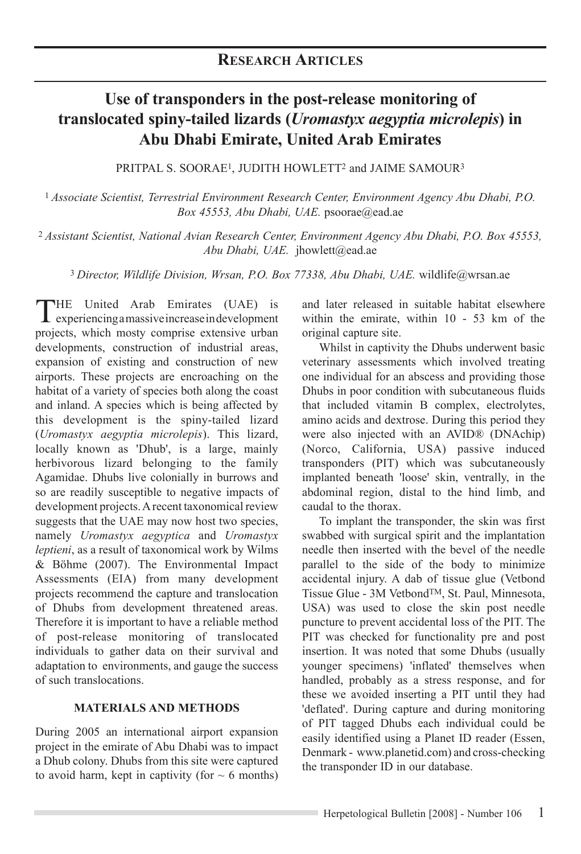# **Use of transponders in the post-release monitoring of translocated spiny-tailed lizards (***Uromastyx aegyptia microlepis***) in Abu Dhabi Emirate, United Arab Emirates**

PRITPAL S. SOORAE<sup>1</sup>, JUDITH HOWLETT<sup>2</sup> and JAIME SAMOUR<sup>3</sup>

<sup>1</sup>*Associate Scientist, Terrestrial Environment Research Center, Environment Agency Abu Dhabi, P.O. Box 45553, Abu Dhabi, UAE.* psoorae@ead.ae

<sup>2</sup>*Assistant Scientist, National Avian Research Center, Environment Agency Abu Dhabi, P.O. Box 45553, Abu Dhabi, UAE.* jhowlett@ead.ae

<sup>3</sup>*Director, Wildlife Division, Wrsan, P.O. Box 77338, Abu Dhabi, UAE.* wildlife@wrsan.ae

THE United Arab Emirates (UAE) is experiencing a massive increase in development projects, which mosty comprise extensive urban developments, construction of industrial areas, expansion of existing and construction of new airports. These projects are encroaching on the habitat of a variety of species both along the coast and inland. A species which is being affected by this development is the spiny-tailed lizard (*Uromastyx aegyptia microlepis*). This lizard, locally known as 'Dhub', is a large, mainly herbivorous lizard belonging to the family Agamidae. Dhubs live colonially in burrows and so are readily susceptible to negative impacts of development projects. A recent taxonomical review suggests that the UAE may now host two species, namely *Uromastyx aegyptica* and *Uromastyx leptieni*, as a result of taxonomical work by Wilms & Böhme (2007). The Environmental Impact Assessments (EIA) from many development projects recommend the capture and translocation of Dhubs from development threatened areas. Therefore it is important to have a reliable method of post-release monitoring of translocated individuals to gather data on their survival and adaptation to environments, and gauge the success of such translocations.

#### **Materials and Methods**

During 2005 an international airport expansion project in the emirate of Abu Dhabi was to impact a Dhub colony. Dhubs from this site were captured to avoid harm, kept in captivity (for  $\sim 6$  months) and later released in suitable habitat elsewhere within the emirate, within 10 - 53 km of the original capture site.

Whilst in captivity the Dhubs underwent basic veterinary assessments which involved treating one individual for an abscess and providing those Dhubs in poor condition with subcutaneous fluids that included vitamin B complex, electrolytes, amino acids and dextrose. During this period they were also injected with an AVID® (DNAchip) (Norco, California, USA) passive induced transponders (PIT) which was subcutaneously implanted beneath 'loose' skin, ventrally, in the abdominal region, distal to the hind limb, and caudal to the thorax.

To implant the transponder, the skin was first swabbed with surgical spirit and the implantation needle then inserted with the bevel of the needle parallel to the side of the body to minimize accidental injury. A dab of tissue glue (Vetbond Tissue Glue - 3M VetbondTM, St. Paul, Minnesota, USA) was used to close the skin post needle puncture to prevent accidental loss of the PIT. The PIT was checked for functionality pre and post insertion. It was noted that some Dhubs (usually younger specimens) 'inflated' themselves when handled, probably as a stress response, and for these we avoided inserting a PIT until they had 'deflated'. During capture and during monitoring of PIT tagged Dhubs each individual could be easily identified using a Planet ID reader (Essen, Denmark - www.planetid.com) and cross-checking the transponder ID in our database.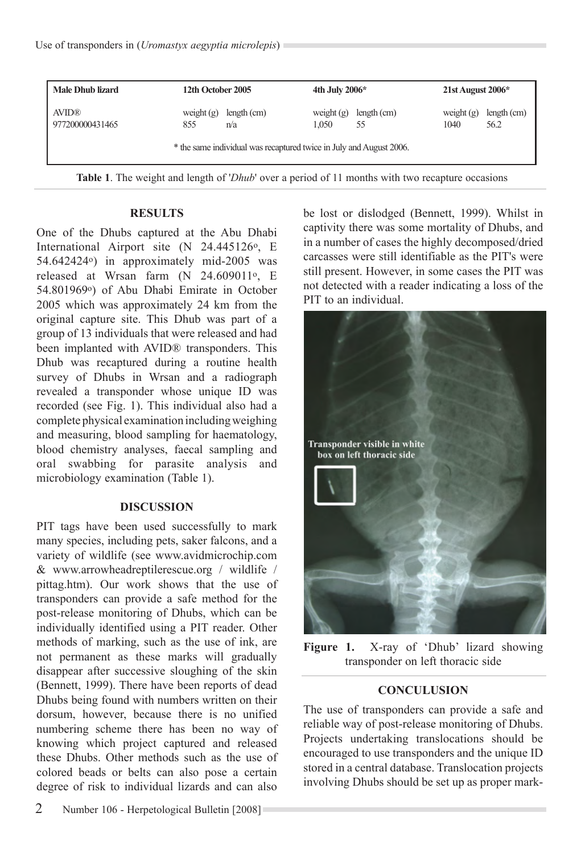| <b>Male Dhub lizard</b>         | 12th October 2005   |                                                                     | 4th July $2006*$      |                   | $21st$ August $2006*$ |                     |
|---------------------------------|---------------------|---------------------------------------------------------------------|-----------------------|-------------------|-----------------------|---------------------|
| <b>AVID®</b><br>977200000431465 | weight $(g)$<br>855 | length (cm)<br>n/a                                                  | weight $(g)$<br>1.050 | length (cm)<br>55 | weight $(g)$<br>1040  | length (cm)<br>56.2 |
|                                 |                     | * the same individual was recaptured twice in July and August 2006. |                       |                   |                       |                     |

**Table 1**. The weight and length of '*Dhub*' over a period of 11 months with two recapture occasions

#### **RESULTS**

One of the Dhubs captured at the Abu Dhabi International Airport site (N 24.445126<sup>o</sup>, E 54.642424o) in approximately mid-2005 was released at Wrsan farm (N 24.609011o, E 54.801969o) of Abu Dhabi Emirate in October 2005 which was approximately 24 km from the original capture site. This Dhub was part of a group of 13 individuals that were released and had been implanted with AVID® transponders. This Dhub was recaptured during a routine health survey of Dhubs in Wrsan and a radiograph revealed a transponder whose unique ID was recorded (see Fig. 1). This individual also had a complete physical examination including weighing and measuring, blood sampling for haematology, blood chemistry analyses, faecal sampling and oral swabbing for parasite analysis and microbiology examination (Table 1).

#### **DISCUSSION**

PIT tags have been used successfully to mark many species, including pets, saker falcons, and a variety of wildlife (see www.avidmicrochip.com & www.arrowheadreptilerescue.org / wildlife / pittag.htm). Our work shows that the use of transponders can provide a safe method for the post-release monitoring of Dhubs, which can be individually identified using a PIT reader. Other methods of marking, such as the use of ink, are not permanent as these marks will gradually disappear after successive sloughing of the skin (Bennett, 1999). There have been reports of dead Dhubs being found with numbers written on their dorsum, however, because there is no unified numbering scheme there has been no way of knowing which project captured and released these Dhubs. Other methods such as the use of colored beads or belts can also pose a certain degree of risk to individual lizards and can also

be lost or dislodged (Bennett, 1999). Whilst in captivity there was some mortality of Dhubs, and in a number of cases the highly decomposed/dried carcasses were still identifiable as the PIT's were still present. However, in some cases the PIT was not detected with a reader indicating a loss of the PIT to an individual.



Figure 1. X-ray of 'Dhub' lizard showing transponder on left thoracic side

#### **CONCULUSION**

The use of transponders can provide a safe and reliable way of post-release monitoring of Dhubs. Projects undertaking translocations should be encouraged to use transponders and the unique ID stored in a central database. Translocation projects involving Dhubs should be set up as proper mark